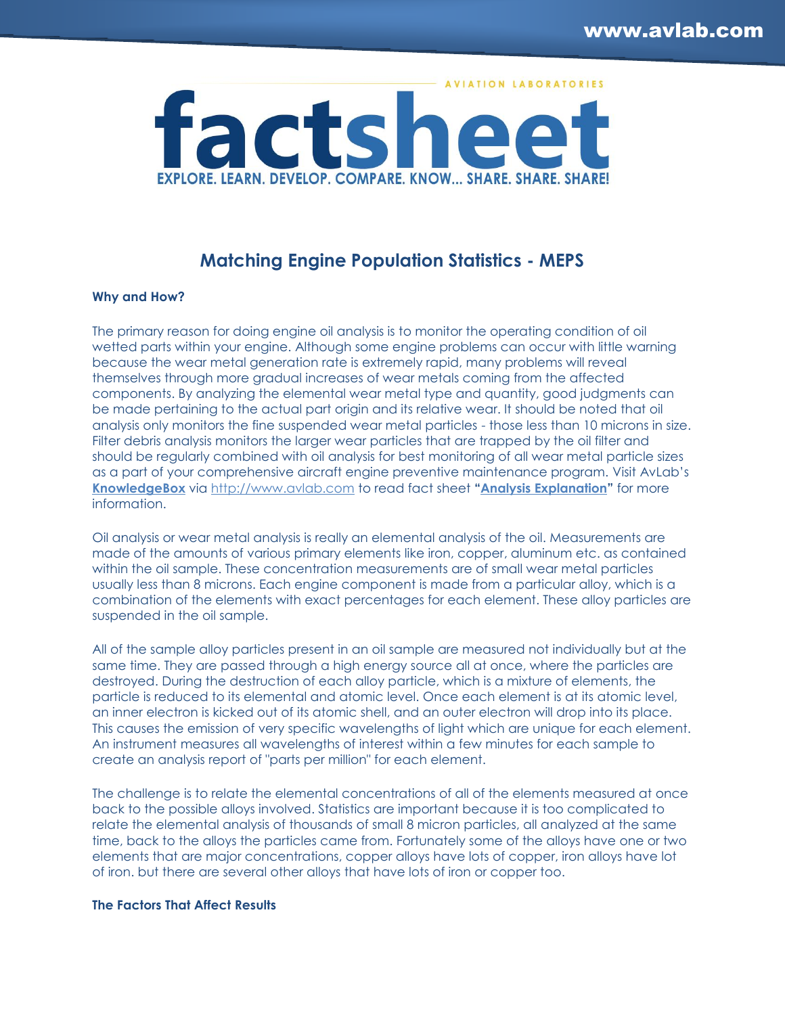

# **Matching Engine Population Statistics - MEPS**

### **Why and How?**

The primary reason for doing engine oil analysis is to monitor the operating condition of oil wetted parts within your engine. Although some engine problems can occur with little warning because the wear metal generation rate is extremely rapid, many problems will reveal themselves through more gradual increases of wear metals coming from the affected components. By analyzing the elemental wear metal type and quantity, good judgments can be made pertaining to the actual part origin and its relative wear. It should be noted that oil analysis only monitors the fine suspended wear metal particles - those less than 10 microns in size. Filter debris analysis monitors the larger wear particles that are trapped by the oil filter and should be regularly combined with oil analysis for best monitoring of all wear metal particle sizes as a part of your comprehensive aircraft engine preventive maintenance program. Visit AvLab's **[KnowledgeBox](http://www.avlab.com/SearchResults.asp?Cat=1853)** via [http://www.avlab.com](http://www.avlab.com/) to read fact sheet **"[Analysis Explanation](http://www.avlab.com/v/vspfiles/templates/aviationlab/images/landing/Analysis_Info.pdf)"** for more information.

Oil analysis or wear metal analysis is really an elemental analysis of the oil. Measurements are made of the amounts of various primary elements like iron, copper, aluminum etc. as contained within the oil sample. These concentration measurements are of small wear metal particles usually less than 8 microns. Each engine component is made from a particular alloy, which is a combination of the elements with exact percentages for each element. These alloy particles are suspended in the oil sample.

All of the sample alloy particles present in an oil sample are measured not individually but at the same time. They are passed through a high energy source all at once, where the particles are destroyed. During the destruction of each alloy particle, which is a mixture of elements, the particle is reduced to its elemental and atomic level. Once each element is at its atomic level, an inner electron is kicked out of its atomic shell, and an outer electron will drop into its place. This causes the emission of very specific wavelengths of light which are unique for each element. An instrument measures all wavelenaths of interest within a few minutes for each sample to create an analysis report of "parts per million" for each element.

The challenge is to relate the elemental concentrations of all of the elements measured at once back to the possible alloys involved. Statistics are important because it is too complicated to relate the elemental analysis of thousands of small 8 micron particles, all analyzed at the same time, back to the alloys the particles came from. Fortunately some of the alloys have one or two elements that are major concentrations, copper alloys have lots of copper, iron alloys have lot of iron. but there are several other alloys that have lots of iron or copper too.

## **The Factors That Affect Results**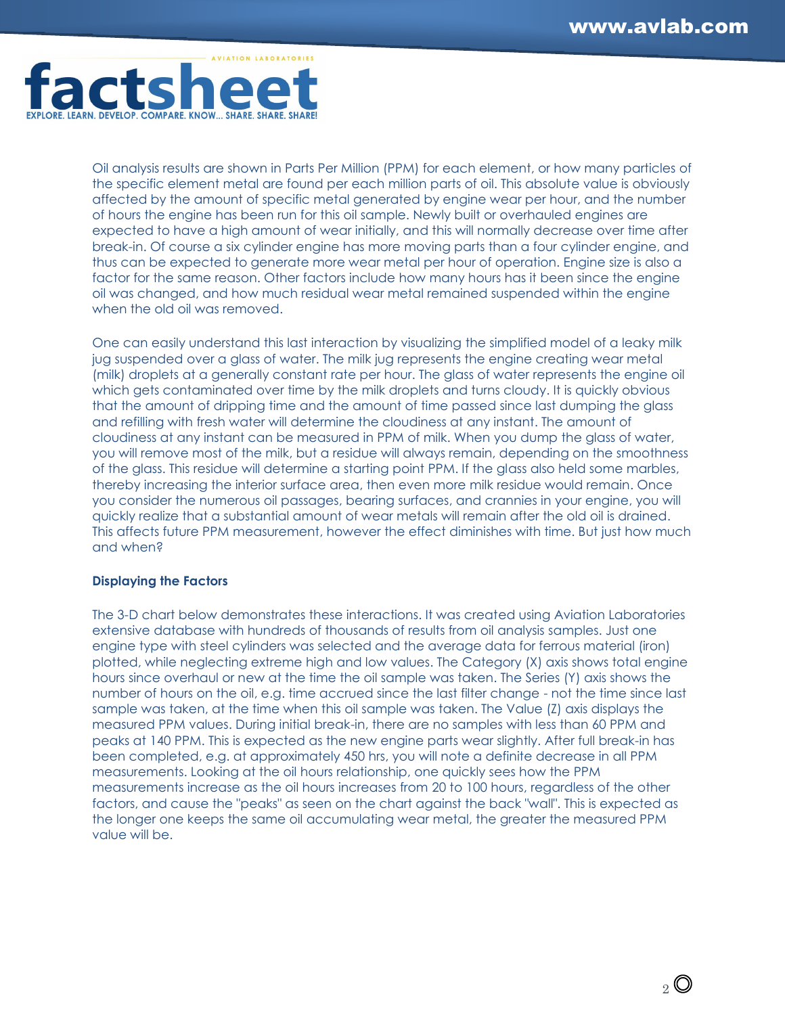

Oil analysis results are shown in Parts Per Million (PPM) for each element, or how many particles of the specific element metal are found per each million parts of oil. This absolute value is obviously affected by the amount of specific metal generated by engine wear per hour, and the number of hours the engine has been run for this oil sample. Newly built or overhauled engines are expected to have a high amount of wear initially, and this will normally decrease over time after break-in. Of course a six cylinder engine has more moving parts than a four cylinder engine, and thus can be expected to generate more wear metal per hour of operation. Engine size is also a factor for the same reason. Other factors include how many hours has it been since the engine oil was changed, and how much residual wear metal remained suspended within the engine when the old oil was removed.

One can easily understand this last interaction by visualizing the simplified model of a leaky milk jug suspended over a glass of water. The milk jug represents the engine creating wear metal (milk) droplets at a generally constant rate per hour. The glass of water represents the engine oil which gets contaminated over time by the milk droplets and turns cloudy. It is quickly obvious that the amount of dripping time and the amount of time passed since last dumping the glass and refilling with fresh water will determine the cloudiness at any instant. The amount of cloudiness at any instant can be measured in PPM of milk. When you dump the glass of water, you will remove most of the milk, but a residue will always remain, depending on the smoothness of the glass. This residue will determine a starting point PPM. If the glass also held some marbles, thereby increasing the interior surface area, then even more milk residue would remain. Once you consider the numerous oil passages, bearing surfaces, and crannies in your engine, you will quickly realize that a substantial amount of wear metals will remain after the old oil is drained. This affects future PPM measurement, however the effect diminishes with time. But just how much and when?

### **Displaying the Factors**

The 3-D chart below demonstrates these interactions. It was created using Aviation Laboratories extensive database with hundreds of thousands of results from oil analysis samples. Just one engine type with steel cylinders was selected and the average data for ferrous material (iron) plotted, while neglecting extreme high and low values. The Category (X) axis shows total engine hours since overhaul or new at the time the oil sample was taken. The Series (Y) axis shows the number of hours on the oil, e.g. time accrued since the last filter change - not the time since last sample was taken, at the time when this oil sample was taken. The Value (Z) axis displays the measured PPM values. During initial break-in, there are no samples with less than 60 PPM and peaks at 140 PPM. This is expected as the new engine parts wear slightly. After full break-in has been completed, e.g. at approximately 450 hrs, you will note a definite decrease in all PPM measurements. Looking at the oil hours relationship, one quickly sees how the PPM measurements increase as the oil hours increases from 20 to 100 hours, regardless of the other factors, and cause the "peaks" as seen on the chart against the back "wall". This is expected as the longer one keeps the same oil accumulating wear metal, the greater the measured PPM value will be.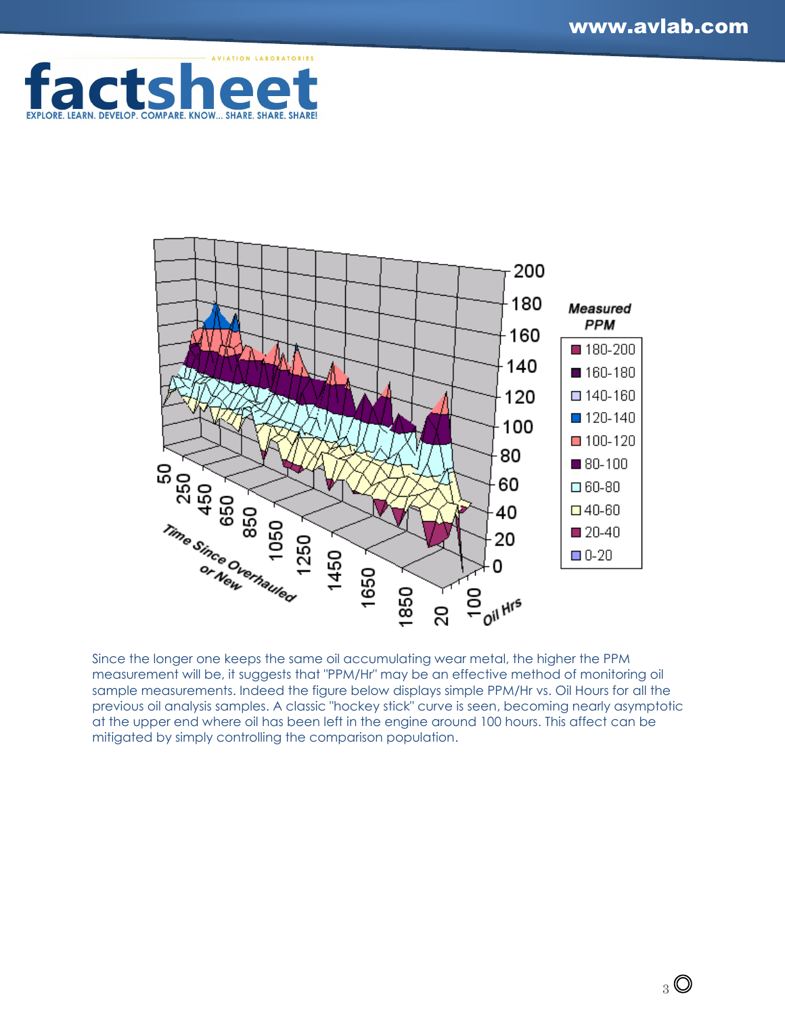



Since the longer one keeps the same oil accumulating wear metal, the higher the PPM measurement will be, it suggests that "PPM/Hr" may be an effective method of monitoring oil sample measurements. Indeed the figure below displays simple PPM/Hr vs. Oil Hours for all the previous oil analysis samples. A classic "hockey stick" curve is seen, becoming nearly asymptotic at the upper end where oil has been left in the engine around 100 hours. This affect can be mitigated by simply controlling the comparison population.

 $3^{\circ}$